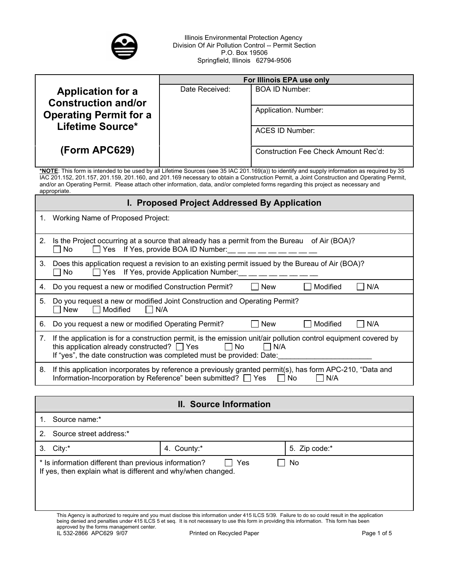

Illinois Environmental Protection Agency Division Of Air Pollution Control -- Permit Section P.O. Box 19506 Springfield, Illinois 62794-9506

|                                                             | For Illinois EPA use only |                                      |
|-------------------------------------------------------------|---------------------------|--------------------------------------|
| <b>Application for a</b>                                    | Date Received:            | <b>BOA ID Number:</b>                |
| <b>Construction and/or</b><br><b>Operating Permit for a</b> |                           | Application. Number:                 |
| Lifetime Source*                                            |                           | ACES ID Number:                      |
| (Form APC629)                                               |                           | Construction Fee Check Amount Rec'd: |

**\*NOTE**: This form is intended to be used by all Lifetime Sources (see 35 IAC 201.169(a)) to identify and supply information as required by 35 IAC 201.152, 201.157, 201.159, 201.160, and 201.169 necessary to obtain a Construction Permit, a Joint Construction and Operating Permit, and/or an Operating Permit. Please attach other information, data, and/or completed forms regarding this project as necessary and appropriate.

### **I. Proposed Project Addressed By Application**

1. Working Name of Proposed Project:

| 2. | Is the Project occurring at a source that already has a permit from the Bureau of Air (BOA)?<br>$\Box$ Yes If Yes, provide BOA ID Number:<br>No.                                                                                                                                   |
|----|------------------------------------------------------------------------------------------------------------------------------------------------------------------------------------------------------------------------------------------------------------------------------------|
| 3. | Does this application request a revision to an existing permit issued by the Bureau of Air (BOA)?<br>$\Box$ Yes If Yes, provide Application Number:<br>No<br>$\blacksquare$                                                                                                        |
| 4. | Modified<br>Do you request a new or modified Construction Permit?<br><b>New</b><br>N/A                                                                                                                                                                                             |
| 5. | Do you request a new or modified Joint Construction and Operating Permit?<br>Modified<br>New<br>N/A                                                                                                                                                                                |
| 6. | Do you request a new or modified Operating Permit?<br>Modified<br>N/A<br><b>New</b>                                                                                                                                                                                                |
| 7. | If the application is for a construction permit, is the emission unit/air pollution control equipment covered by<br>this application already constructed? $\Box$ Yes<br><b>Example 1</b> No<br>$\Box$ N/A<br>If "yes", the date construction was completed must be provided: Date: |
| 8. | If this application incorporates by reference a previously granted permit(s), has form APC-210, "Data and<br>Information-Incorporation by Reference" been submitted? T Yes<br>No.<br>N/A                                                                                           |

**II. Source Information** 

| Source name:*                                                                                                                      |                                                                                                                                                   |               |
|------------------------------------------------------------------------------------------------------------------------------------|---------------------------------------------------------------------------------------------------------------------------------------------------|---------------|
| Source street address:*                                                                                                            |                                                                                                                                                   |               |
| 3. City:*                                                                                                                          | 4. County:*                                                                                                                                       | 5. Zip code:* |
| Yes<br>* Is information different than previous information?<br>No<br>If yes, then explain what is different and why/when changed. |                                                                                                                                                   |               |
|                                                                                                                                    | This Agency is authorized to require and you must disclose this information under 415 ILCS 5/39. Failure to do so could result in the application |               |

being denied and penalties under 415 ILCS 5 et seq. It is not necessary to use this form in providing this information. This form has been approved by the forms management center.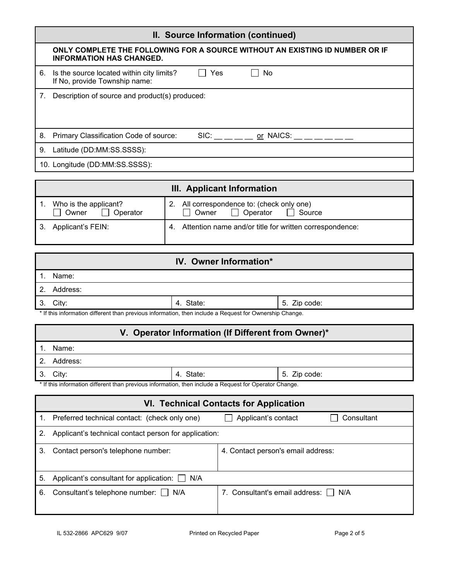| II. Source Information (continued) |                                                                                                                 |  |  |  |  |
|------------------------------------|-----------------------------------------------------------------------------------------------------------------|--|--|--|--|
|                                    | ONLY COMPLETE THE FOLLOWING FOR A SOURCE WITHOUT AN EXISTING ID NUMBER OR IF<br><b>INFORMATION HAS CHANGED.</b> |  |  |  |  |
| 6.                                 | Yes<br>Is the source located within city limits?<br>No<br>If No, provide Township name:                         |  |  |  |  |
| 7.                                 | Description of source and product(s) produced:                                                                  |  |  |  |  |
| 8.                                 | SIC: or NAICS:<br>Primary Classification Code of source:                                                        |  |  |  |  |
| 9.                                 | Latitude (DD:MM:SS.SSSS):                                                                                       |  |  |  |  |
|                                    | 10. Longitude (DD:MM:SS.SSSS):                                                                                  |  |  |  |  |
|                                    | III. Applicant Information                                                                                      |  |  |  |  |

| III. Applicant information                               |                                                                                         |  |
|----------------------------------------------------------|-----------------------------------------------------------------------------------------|--|
| Who is the applicant?<br>$\Box$ Owner<br>$\Box$ Operator | 2. All correspondence to: (check only one)<br>$\Box$ Operator<br>$\Box$ Source<br>Owner |  |
| 3. Applicant's FEIN:                                     | 4. Attention name and/or title for written correspondence:                              |  |

|                | IV. Owner Information*                                                                                        |           |              |
|----------------|---------------------------------------------------------------------------------------------------------------|-----------|--------------|
|                | Name:                                                                                                         |           |              |
| 2 <sub>1</sub> | Address:                                                                                                      |           |              |
| 3.             | City:                                                                                                         | 4. State: | 5. Zip code: |
|                | If this information different than previous information then include a Request for Ownership Change * If this |           |              |

If this information different than previous information, then include a Request for Ownership Change.

# **V. Operator Information (If Different from Owner)\***

|                                                                                                        | $\mathbf{v}$ . Operator mnormation in Binorent from Owner, |           |              |  |
|--------------------------------------------------------------------------------------------------------|------------------------------------------------------------|-----------|--------------|--|
|                                                                                                        | Name:                                                      |           |              |  |
|                                                                                                        | Address:                                                   |           |              |  |
|                                                                                                        | 3. Citv:                                                   | 4. State: | 5. Zip code: |  |
| * If this information different than previous information, then include a Request for Operator Change. |                                                            |           |              |  |

|    | <b>VI. Technical Contacts for Application</b>         |                                    |  |  |
|----|-------------------------------------------------------|------------------------------------|--|--|
| 1. | Preferred technical contact: (check only one)         | Applicant's contact<br>Consultant  |  |  |
| 2. | Applicant's technical contact person for application: |                                    |  |  |
| 3. | Contact person's telephone number:                    | 4. Contact person's email address: |  |  |
|    |                                                       |                                    |  |  |
| 5. | Applicant's consultant for application: $\Box$<br>N/A |                                    |  |  |
| 6. | Consultant's telephone number: N/A                    | 7. Consultant's email address: N/A |  |  |
|    |                                                       |                                    |  |  |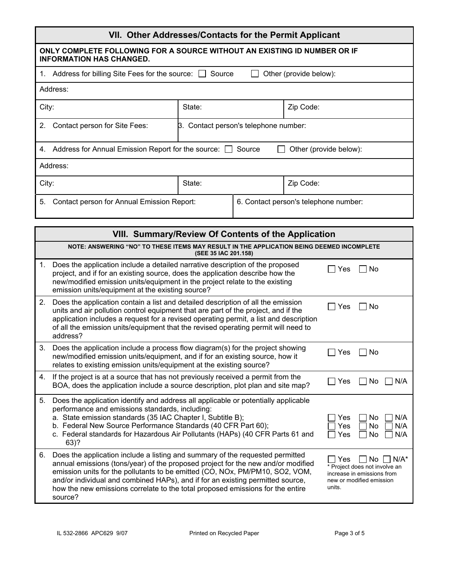| VII. Other Addresses/Contacts for the Permit Applicant                                                      |                                          |  |           |
|-------------------------------------------------------------------------------------------------------------|------------------------------------------|--|-----------|
| ONLY COMPLETE FOLLOWING FOR A SOURCE WITHOUT AN EXISTING ID NUMBER OR IF<br><b>INFORMATION HAS CHANGED.</b> |                                          |  |           |
| Address for billing Site Fees for the source: $\Box$<br>Source<br>Other (provide below):<br>1.              |                                          |  |           |
| Address:                                                                                                    |                                          |  |           |
| City:                                                                                                       | State:                                   |  | Zip Code: |
| 2.<br>Contact person for Site Fees:                                                                         | Contact person's telephone number:<br>B. |  |           |
| Address for Annual Emission Report for the source:<br>Other (provide below):<br>Source<br>4.                |                                          |  |           |
| Address:                                                                                                    |                                          |  |           |
| State:<br>Zip Code:<br>City:                                                                                |                                          |  |           |
| 5.<br>Contact person for Annual Emission Report:<br>6. Contact person's telephone number:                   |                                          |  |           |

|    | VIII. Summary/Review Of Contents of the Application                                                                                                                                                                                                                                                                                                                                                                              |                                                                                                                           |  |  |  |
|----|----------------------------------------------------------------------------------------------------------------------------------------------------------------------------------------------------------------------------------------------------------------------------------------------------------------------------------------------------------------------------------------------------------------------------------|---------------------------------------------------------------------------------------------------------------------------|--|--|--|
|    | NOTE: ANSWERING "NO" TO THESE ITEMS MAY RESULT IN THE APPLICATION BEING DEEMED INCOMPLETE<br>(SEE 35 IAC 201.158)                                                                                                                                                                                                                                                                                                                |                                                                                                                           |  |  |  |
| 1. | Does the application include a detailed narrative description of the proposed<br>project, and if for an existing source, does the application describe how the<br>new/modified emission units/equipment in the project relate to the existing<br>emission units/equipment at the existing source?                                                                                                                                | No<br>Yes                                                                                                                 |  |  |  |
| 2. | Does the application contain a list and detailed description of all the emission<br>units and air pollution control equipment that are part of the project, and if the<br>application includes a request for a revised operating permit, a list and description<br>of all the emission units/equipment that the revised operating permit will need to<br>address?                                                                | No<br>Yes                                                                                                                 |  |  |  |
| 3. | Does the application include a process flow diagram(s) for the project showing<br>new/modified emission units/equipment, and if for an existing source, how it<br>relates to existing emission units/equipment at the existing source?                                                                                                                                                                                           | No<br>Yes                                                                                                                 |  |  |  |
| 4. | If the project is at a source that has not previously received a permit from the<br>BOA, does the application include a source description, plot plan and site map?                                                                                                                                                                                                                                                              | N/A<br>Yes<br>No                                                                                                          |  |  |  |
| 5. | Does the application identify and address all applicable or potentially applicable<br>performance and emissions standards, including:<br>a. State emission standards (35 IAC Chapter I, Subtitle B);<br>b. Federal New Source Performance Standards (40 CFR Part 60);<br>c. Federal standards for Hazardous Air Pollutants (HAPs) (40 CFR Parts 61 and<br>$63)$ ?                                                                | N/A<br>No<br>Yes<br>N/A<br>No<br>Yes<br>N/A<br>No<br>Yes                                                                  |  |  |  |
| 6. | Does the application include a listing and summary of the requested permitted<br>annual emissions (tons/year) of the proposed project for the new and/or modified<br>emission units for the pollutants to be emitted (CO, NOx, PM/PM10, SO2, VOM,<br>and/or individual and combined HAPs), and if for an existing permitted source,<br>how the new emissions correlate to the total proposed emissions for the entire<br>source? | $N/A^*$<br>Yes<br>N٥<br>* Project does not involve an<br>increase in emissions from<br>new or modified emission<br>units. |  |  |  |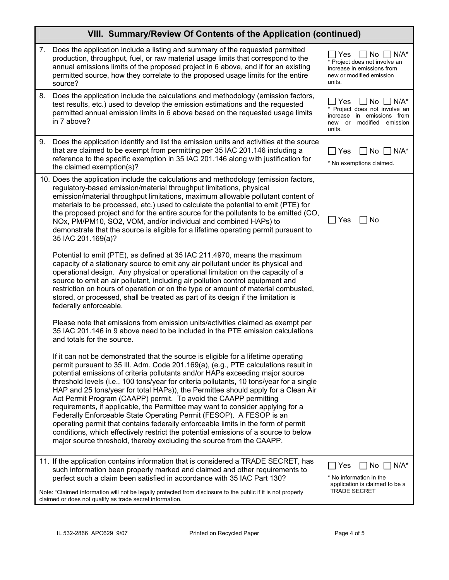|    | VIII. Summary/Review Of Contents of the Application (continued)                                                                                                                                                                                                                                                                                                                                                                                                                                                                                                                                                                                                                                                                                                                                                                                                                                                             |                                                                                                                                    |
|----|-----------------------------------------------------------------------------------------------------------------------------------------------------------------------------------------------------------------------------------------------------------------------------------------------------------------------------------------------------------------------------------------------------------------------------------------------------------------------------------------------------------------------------------------------------------------------------------------------------------------------------------------------------------------------------------------------------------------------------------------------------------------------------------------------------------------------------------------------------------------------------------------------------------------------------|------------------------------------------------------------------------------------------------------------------------------------|
| 7. | Does the application include a listing and summary of the requested permitted<br>production, throughput, fuel, or raw material usage limits that correspond to the<br>annual emissions limits of the proposed project in 6 above, and if for an existing<br>permitted source, how they correlate to the proposed usage limits for the entire<br>source?                                                                                                                                                                                                                                                                                                                                                                                                                                                                                                                                                                     | Yes<br>No l<br>$N/A^*$<br>* Project does not involve an<br>increase in emissions from<br>new or modified emission<br>units.        |
| 8. | Does the application include the calculations and methodology (emission factors,<br>test results, etc.) used to develop the emission estimations and the requested<br>permitted annual emission limits in 6 above based on the requested usage limits<br>in 7 above?                                                                                                                                                                                                                                                                                                                                                                                                                                                                                                                                                                                                                                                        | $N/A^*$<br>No.<br>Yes<br>* Project does not involve an<br>increase<br>in emissions from<br>new or modified emission<br>units.      |
| 9. | Does the application identify and list the emission units and activities at the source<br>that are claimed to be exempt from permitting per 35 IAC 201.146 including a<br>reference to the specific exemption in 35 IAC 201.146 along with justification for<br>the claimed exemption(s)?                                                                                                                                                                                                                                                                                                                                                                                                                                                                                                                                                                                                                                   | Yes<br>$No$ $\mid$ $\mid$ $N/A^*$<br>$\blacksquare$<br>* No exemptions claimed.                                                    |
|    | 10. Does the application include the calculations and methodology (emission factors,<br>regulatory-based emission/material throughput limitations, physical<br>emission/material throughput limitations, maximum allowable pollutant content of<br>materials to be processed, etc.) used to calculate the potential to emit (PTE) for<br>the proposed project and for the entire source for the pollutants to be emitted (CO,<br>NOx, PM/PM10, SO2, VOM, and/or individual and combined HAPs) to<br>demonstrate that the source is eligible for a lifetime operating permit pursuant to<br>35 IAC 201.169(a)?                                                                                                                                                                                                                                                                                                               | <b>No</b><br>Yes                                                                                                                   |
|    | Potential to emit (PTE), as defined at 35 IAC 211.4970, means the maximum<br>capacity of a stationary source to emit any air pollutant under its physical and<br>operational design. Any physical or operational limitation on the capacity of a<br>source to emit an air pollutant, including air pollution control equipment and<br>restriction on hours of operation or on the type or amount of material combusted,<br>stored, or processed, shall be treated as part of its design if the limitation is<br>federally enforceable.                                                                                                                                                                                                                                                                                                                                                                                      |                                                                                                                                    |
|    | Please note that emissions from emission units/activities claimed as exempt per<br>35 IAC 201.146 in 9 above need to be included in the PTE emission calculations<br>and totals for the source.                                                                                                                                                                                                                                                                                                                                                                                                                                                                                                                                                                                                                                                                                                                             |                                                                                                                                    |
|    | If it can not be demonstrated that the source is eligible for a lifetime operating<br>permit pursuant to 35 III. Adm. Code 201.169(a), (e.g., PTE calculations result in<br>potential emissions of criteria pollutants and/or HAPs exceeding major source<br>threshold levels (i.e., 100 tons/year for criteria pollutants, 10 tons/year for a single<br>HAP and 25 tons/year for total HAPs)), the Permittee should apply for a Clean Air<br>Act Permit Program (CAAPP) permit. To avoid the CAAPP permitting<br>requirements, if applicable, the Permittee may want to consider applying for a<br>Federally Enforceable State Operating Permit (FESOP). A FESOP is an<br>operating permit that contains federally enforceable limits in the form of permit<br>conditions, which effectively restrict the potential emissions of a source to below<br>major source threshold, thereby excluding the source from the CAAPP. |                                                                                                                                    |
|    | 11. If the application contains information that is considered a TRADE SECRET, has<br>such information been properly marked and claimed and other requirements to<br>perfect such a claim been satisfied in accordance with 35 IAC Part 130?<br>Note: "Claimed information will not be legally protected from disclosure to the public if it is not properly                                                                                                                                                                                                                                                                                                                                                                                                                                                                                                                                                                | $\Box$ No $\Box$ N/A*<br>Yes<br>$\blacksquare$<br>* No information in the<br>application is claimed to be a<br><b>TRADE SECRET</b> |
|    | claimed or does not qualify as trade secret information.                                                                                                                                                                                                                                                                                                                                                                                                                                                                                                                                                                                                                                                                                                                                                                                                                                                                    |                                                                                                                                    |